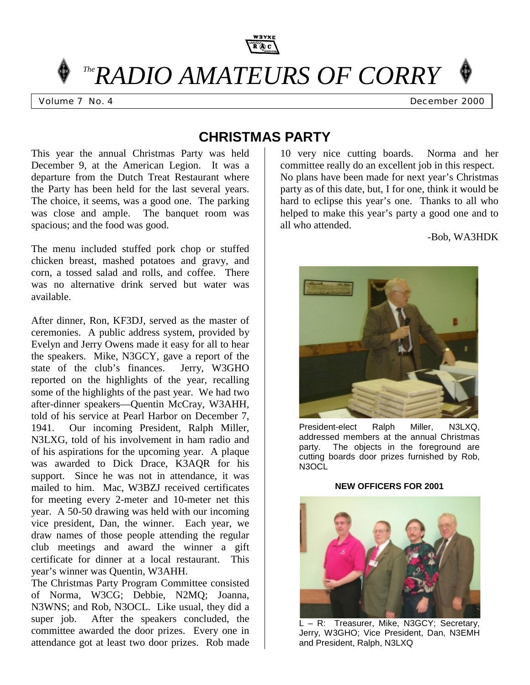

*TheRADIO AMATEURS OF CORRY* 

Volume 7 No. 4 **December 2000** 

# **CHRISTMAS PARTY**

This year the annual Christmas Party was held December 9, at the American Legion. It was a departure from the Dutch Treat Restaurant where the Party has been held for the last several years. The choice, it seems, was a good one. The parking was close and ample. The banquet room was spacious; and the food was good.

The menu included stuffed pork chop or stuffed chicken breast, mashed potatoes and gravy, and corn, a tossed salad and rolls, and coffee. There was no alternative drink served but water was available.

After dinner, Ron, KF3DJ, served as the master of ceremonies. A public address system, provided by Evelyn and Jerry Owens made it easy for all to hear the speakers. Mike, N3GCY, gave a report of the state of the club's finances. Jerry, W3GHO reported on the highlights of the year, recalling some of the highlights of the past year. We had two after-dinner speakers—Quentin McCray, W3AHH, told of his service at Pearl Harbor on December 7, 1941. Our incoming President, Ralph Miller, N3LXG, told of his involvement in ham radio and of his aspirations for the upcoming year. A plaque was awarded to Dick Drace, K3AQR for his support. Since he was not in attendance, it was mailed to him. Mac, W3BZJ received certificates for meeting every 2-meter and 10-meter net this year. A 50-50 drawing was held with our incoming vice president, Dan, the winner. Each year, we draw names of those people attending the regular club meetings and award the winner a gift certificate for dinner at a local restaurant. This year's winner was Quentin, W3AHH.

The Christmas Party Program Committee consisted of Norma, W3CG; Debbie, N2MQ; Joanna, N3WNS; and Rob, N3OCL. Like usual, they did a super job. After the speakers concluded, the committee awarded the door prizes. Every one in attendance got at least two door prizes. Rob made

10 very nice cutting boards. Norma and her committee really do an excellent job in this respect. No plans have been made for next year's Christmas party as of this date, but, I for one, think it would be hard to eclipse this year's one. Thanks to all who helped to make this year's party a good one and to all who attended.

#### -Bob, WA3HDK



President-elect Ralph Miller, N3LXQ, addressed members at the annual Christmas party. The objects in the foreground are cutting boards door prizes furnished by Rob, N3OCL

#### **NEW OFFICERS FOR 2001**



 L – R: Treasurer, Mike, N3GCY; Secretary, Jerry, W3GHO; Vice President, Dan, N3EMH and President, Ralph, N3LXQ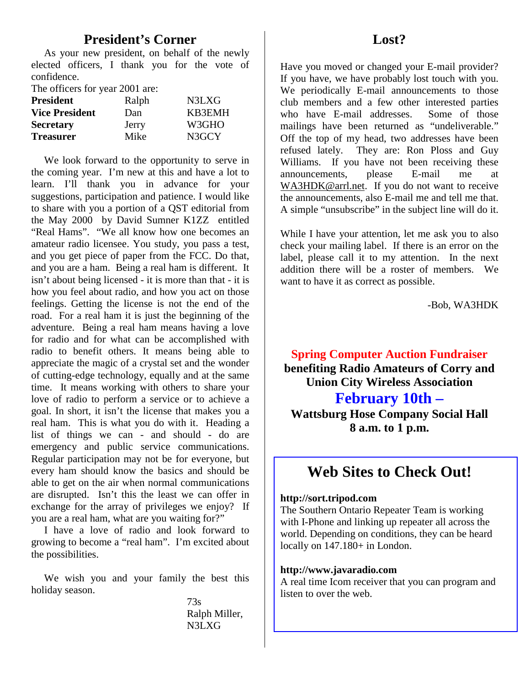### **President's Corner**

 As your new president, on behalf of the newly elected officers, I thank you for the vote of confidence.

The officers for year 2001 are:

| <b>President</b>      | Ralph | N3LXG  |
|-----------------------|-------|--------|
| <b>Vice President</b> | Dan   | KB3EMH |
| <b>Secretary</b>      | Jerry | W3GHO  |
| <b>Treasurer</b>      | Mike  | N3GCY  |

 We look forward to the opportunity to serve in the coming year. I'm new at this and have a lot to learn. I'll thank you in advance for your suggestions, participation and patience. I would like to share with you a portion of a QST editorial from the May 2000 by David Sumner K1ZZ entitled "Real Hams". "We all know how one becomes an amateur radio licensee. You study, you pass a test, and you get piece of paper from the FCC. Do that, and you are a ham. Being a real ham is different. It isn't about being licensed - it is more than that - it is how you feel about radio, and how you act on those feelings. Getting the license is not the end of the road. For a real ham it is just the beginning of the adventure. Being a real ham means having a love for radio and for what can be accomplished with radio to benefit others. It means being able to appreciate the magic of a crystal set and the wonder of cutting-edge technology, equally and at the same time. It means working with others to share your love of radio to perform a service or to achieve a goal. In short, it isn't the license that makes you a real ham. This is what you do with it. Heading a list of things we can - and should - do are emergency and public service communications. Regular participation may not be for everyone, but every ham should know the basics and should be able to get on the air when normal communications are disrupted. Isn't this the least we can offer in exchange for the array of privileges we enjoy? If you are a real ham, what are you waiting for?"

 I have a love of radio and look forward to growing to become a "real ham". I'm excited about the possibilities.

 We wish you and your family the best this holiday season.

> 73s Ralph Miller, N3LXG

Have you moved or changed your E-mail provider? If you have, we have probably lost touch with you. We periodically E-mail announcements to those club members and a few other interested parties who have E-mail addresses. Some of those mailings have been returned as "undeliverable." Off the top of my head, two addresses have been refused lately. They are: Ron Ploss and Guy Williams. If you have not been receiving these announcements, please E-mail me at WA3HDK@arrl.net. If you do not want to receive the announcements, also E-mail me and tell me that. A simple "unsubscribe" in the subject line will do it.

While I have your attention, let me ask you to also check your mailing label. If there is an error on the label, please call it to my attention. In the next addition there will be a roster of members. We want to have it as correct as possible.

-Bob, WA3HDK

**Spring Computer Auction Fundraiser benefiting Radio Amateurs of Corry and Union City Wireless Association**

### **February 10th –**

**Wattsburg Hose Company Social Hall 8 a.m. to 1 p.m.**

## **Web Sites to Check Out!**

#### **http://sort.tripod.com**

The Southern Ontario Repeater Team is working with I-Phone and linking up repeater all across the world. Depending on conditions, they can be heard locally on  $147.180+$  in London.

#### **http://www.javaradio.com**

A real time Icom receiver that you can program and listen to over the web.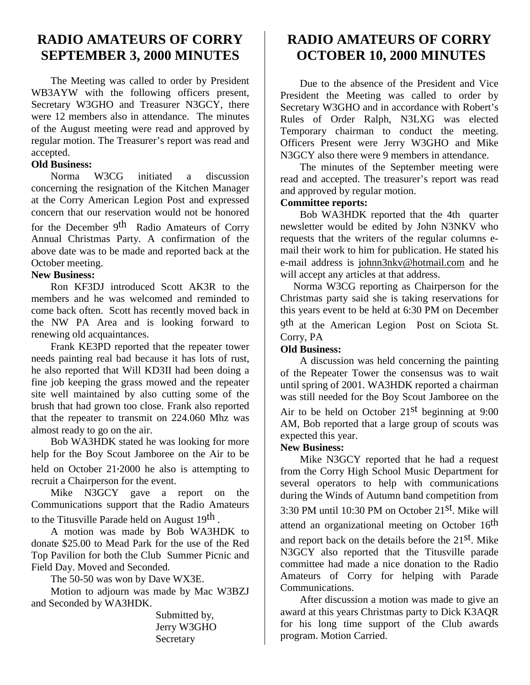## **RADIO AMATEURS OF CORRY SEPTEMBER 3, 2000 MINUTES**

The Meeting was called to order by President WB3AYW with the following officers present, Secretary W3GHO and Treasurer N3GCY, there were 12 members also in attendance. The minutes of the August meeting were read and approved by regular motion. The Treasurer's report was read and accepted.

### **Old Business:**

Norma W3CG initiated a discussion concerning the resignation of the Kitchen Manager at the Corry American Legion Post and expressed concern that our reservation would not be honored

for the December 9<sup>th</sup> Radio Amateurs of Corry Annual Christmas Party. A confirmation of the above date was to be made and reported back at the October meeting.

### **New Business:**

Ron KF3DJ introduced Scott AK3R to the members and he was welcomed and reminded to come back often. Scott has recently moved back in the NW PA Area and is looking forward to renewing old acquaintances.

Frank KE3PD reported that the repeater tower needs painting real bad because it has lots of rust, he also reported that Will KD3II had been doing a fine job keeping the grass mowed and the repeater site well maintained by also cutting some of the brush that had grown too close. Frank also reported that the repeater to transmit on 224.060 Mhz was almost ready to go on the air.

Bob WA3HDK stated he was looking for more help for the Boy Scout Jamboree on the Air to be held on October 21,2000 he also is attempting to recruit a Chairperson for the event.

Mike N3GCY gave a report on the Communications support that the Radio Amateurs to the Titusville Parade held on August 19th .

A motion was made by Bob WA3HDK to donate \$25.00 to Mead Park for the use of the Red Top Pavilion for both the Club Summer Picnic and Field Day. Moved and Seconded.

The 50-50 was won by Dave WX3E.

Motion to adjourn was made by Mac W3BZJ and Seconded by WA3HDK.

> Submitted by, Jerry W3GHO Secretary

## **RADIO AMATEURS OF CORRY OCTOBER 10, 2000 MINUTES**

Due to the absence of the President and Vice President the Meeting was called to order by Secretary W3GHO and in accordance with Robert's Rules of Order Ralph, N3LXG was elected Temporary chairman to conduct the meeting. Officers Present were Jerry W3GHO and Mike N3GCY also there were 9 members in attendance.

The minutes of the September meeting were read and accepted. The treasurer's report was read and approved by regular motion.

### **Committee reports:**

Bob WA3HDK reported that the 4th quarter newsletter would be edited by John N3NKV who requests that the writers of the regular columns email their work to him for publication. He stated his e-mail address is johnn3nkv@hotmail.com and he will accept any articles at that address.

 Norma W3CG reporting as Chairperson for the Christmas party said she is taking reservations for this years event to be held at 6:30 PM on December

9<sup>th</sup> at the American Legion Post on Sciota St. Corry, PA

#### **Old Business:**

A discussion was held concerning the painting of the Repeater Tower the consensus was to wait until spring of 2001. WA3HDK reported a chairman was still needed for the Boy Scout Jamboree on the Air to be held on October  $21<sup>st</sup>$  beginning at 9:00 AM, Bob reported that a large group of scouts was expected this year.

#### **New Business:**

Mike N3GCY reported that he had a request from the Corry High School Music Department for several operators to help with communications during the Winds of Autumn band competition from 3:30 PM until 10:30 PM on October 21st. Mike will attend an organizational meeting on October 16<sup>th</sup> and report back on the details before the 21st. Mike N3GCY also reported that the Titusville parade committee had made a nice donation to the Radio Amateurs of Corry for helping with Parade Communications.

After discussion a motion was made to give an award at this years Christmas party to Dick K3AQR for his long time support of the Club awards program. Motion Carried.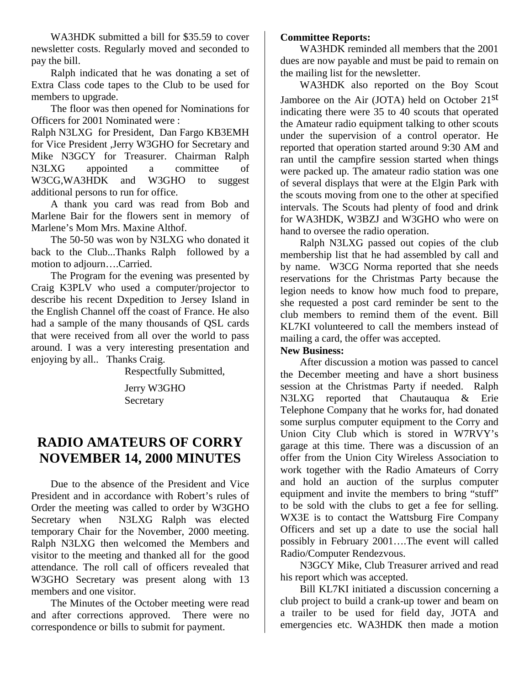WA3HDK submitted a bill for \$35.59 to cover newsletter costs. Regularly moved and seconded to pay the bill.

Ralph indicated that he was donating a set of Extra Class code tapes to the Club to be used for members to upgrade.

The floor was then opened for Nominations for Officers for 2001 Nominated were :

Ralph N3LXG for President, Dan Fargo KB3EMH for Vice President ,Jerry W3GHO for Secretary and Mike N3GCY for Treasurer. Chairman Ralph N3LXG appointed a committee of W3CG,WA3HDK and W3GHO to suggest additional persons to run for office.

A thank you card was read from Bob and Marlene Bair for the flowers sent in memory of Marlene's Mom Mrs. Maxine Althof.

The 50-50 was won by N3LXG who donated it back to the Club...Thanks Ralph followed by a motion to adjourn….Carried.

The Program for the evening was presented by Craig K3PLV who used a computer/projector to describe his recent Dxpedition to Jersey Island in the English Channel off the coast of France. He also had a sample of the many thousands of QSL cards that were received from all over the world to pass around. I was a very interesting presentation and enjoying by all.. Thanks Craig.

Respectfully Submitted,

Jerry W3GHO **Secretary** 

## **RADIO AMATEURS OF CORRY NOVEMBER 14, 2000 MINUTES**

Due to the absence of the President and Vice President and in accordance with Robert's rules of Order the meeting was called to order by W3GHO Secretary when N3LXG Ralph was elected temporary Chair for the November, 2000 meeting. Ralph N3LXG then welcomed the Members and visitor to the meeting and thanked all for the good attendance. The roll call of officers revealed that W3GHO Secretary was present along with 13 members and one visitor.

The Minutes of the October meeting were read and after corrections approved. There were no correspondence or bills to submit for payment.

#### **Committee Reports:**

WA3HDK reminded all members that the 2001 dues are now payable and must be paid to remain on the mailing list for the newsletter.

WA3HDK also reported on the Boy Scout Jamboree on the Air (JOTA) held on October 21st indicating there were 35 to 40 scouts that operated the Amateur radio equipment talking to other scouts under the supervision of a control operator. He reported that operation started around 9:30 AM and ran until the campfire session started when things were packed up. The amateur radio station was one of several displays that were at the Elgin Park with the scouts moving from one to the other at specified intervals. The Scouts had plenty of food and drink for WA3HDK, W3BZJ and W3GHO who were on hand to oversee the radio operation.

Ralph N3LXG passed out copies of the club membership list that he had assembled by call and by name. W3CG Norma reported that she needs reservations for the Christmas Party because the legion needs to know how much food to prepare, she requested a post card reminder be sent to the club members to remind them of the event. Bill KL7KI volunteered to call the members instead of mailing a card, the offer was accepted.

#### **New Business:**

After discussion a motion was passed to cancel the December meeting and have a short business session at the Christmas Party if needed. Ralph N3LXG reported that Chautauqua & Erie Telephone Company that he works for, had donated some surplus computer equipment to the Corry and Union City Club which is stored in W7RVY's garage at this time. There was a discussion of an offer from the Union City Wireless Association to work together with the Radio Amateurs of Corry and hold an auction of the surplus computer equipment and invite the members to bring "stuff" to be sold with the clubs to get a fee for selling. WX3E is to contact the Wattsburg Fire Company Officers and set up a date to use the social hall possibly in February 2001….The event will called Radio/Computer Rendezvous.

N3GCY Mike, Club Treasurer arrived and read his report which was accepted.

Bill KL7KI initiated a discussion concerning a club project to build a crank-up tower and beam on a trailer to be used for field day, JOTA and emergencies etc. WA3HDK then made a motion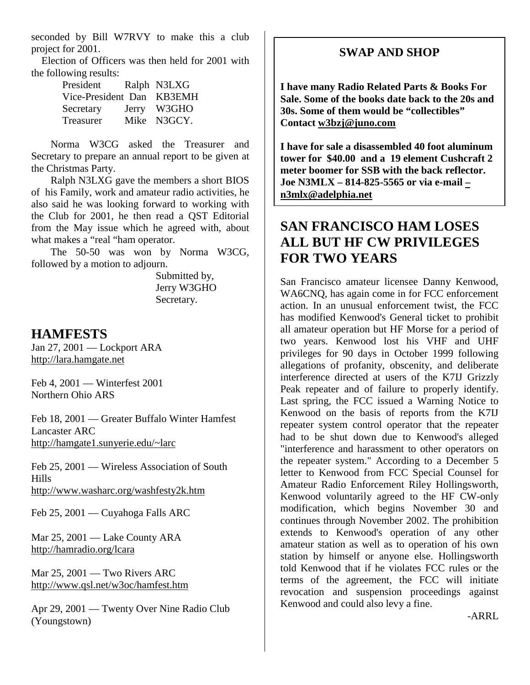seconded by Bill W7RVY to make this a club project for 2001.

 Election of Officers was then held for 2001 with the following results:

| President                 | Ralph N3LXG |
|---------------------------|-------------|
| Vice-President Dan KB3EMH |             |
| Secretary                 | Jerry W3GHO |
| Treasurer                 | Mike N3GCY. |

Norma W3CG asked the Treasurer and Secretary to prepare an annual report to be given at the Christmas Party.

Ralph N3LXG gave the members a short BIOS of his Family, work and amateur radio activities, he also said he was looking forward to working with the Club for 2001, he then read a QST Editorial from the May issue which he agreed with, about what makes a "real "ham operator.

The 50-50 was won by Norma W3CG, followed by a motion to adjourn.

> Submitted by, Jerry W3GHO Secretary.

### **HAMFESTS**

Jan 27, 2001 — Lockport ARA http://lara.hamgate.net

Feb 4, 2001 — Winterfest 2001 Northern Ohio ARS

Feb 18, 2001 — Greater Buffalo Winter Hamfest Lancaster ARC http://hamgate1.sunyerie.edu/~larc

Feb 25, 2001 — Wireless Association of South Hills http://www.washarc.org/washfesty2k.htm

Feb 25, 2001 — Cuyahoga Falls ARC

Mar 25, 2001 — Lake County ARA http://hamradio.org/lcara

Mar 25, 2001 — Two Rivers ARC http://www.qsl.net/w3oc/hamfest.htm

Apr 29, 2001 — Twenty Over Nine Radio Club (Youngstown)

### **SWAP AND SHOP**

**I have many Radio Related Parts & Books For Sale. Some of the books date back to the 20s and 30s. Some of them would be "collectibles" Contact w3bzj@juno.com**

**I have for sale a disassembled 40 foot aluminum tower for \$40.00 and a 19 element Cushcraft 2 meter boomer for SSB with the back reflector. Joe N3MLX – 814-825-5565 or via e-mail – n3mlx@adelphia.net**

## **SAN FRANCISCO HAM LOSES ALL BUT HF CW PRIVILEGES FOR TWO YEARS**

San Francisco amateur licensee Danny Kenwood, WA6CNQ, has again come in for FCC enforcement action. In an unusual enforcement twist, the FCC has modified Kenwood's General ticket to prohibit all amateur operation but HF Morse for a period of two years. Kenwood lost his VHF and UHF privileges for 90 days in October 1999 following allegations of profanity, obscenity, and deliberate interference directed at users of the K7IJ Grizzly Peak repeater and of failure to properly identify. Last spring, the FCC issued a Warning Notice to Kenwood on the basis of reports from the K7IJ repeater system control operator that the repeater had to be shut down due to Kenwood's alleged "interference and harassment to other operators on the repeater system." According to a December 5 letter to Kenwood from FCC Special Counsel for Amateur Radio Enforcement Riley Hollingsworth, Kenwood voluntarily agreed to the HF CW-only modification, which begins November 30 and continues through November 2002. The prohibition extends to Kenwood's operation of any other amateur station as well as to operation of his own station by himself or anyone else. Hollingsworth told Kenwood that if he violates FCC rules or the terms of the agreement, the FCC will initiate revocation and suspension proceedings against Kenwood and could also levy a fine.

-ARRL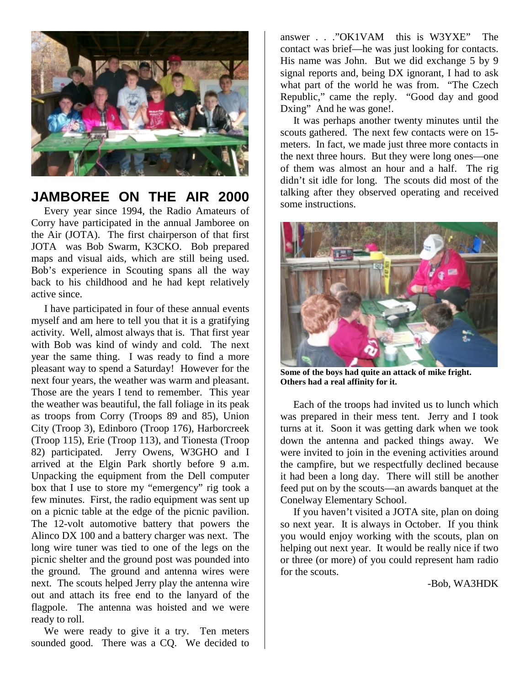

## **JAMBOREE ON THE AIR 2000**

 Every year since 1994, the Radio Amateurs of Corry have participated in the annual Jamboree on the Air (JOTA). The first chairperson of that first JOTA was Bob Swarm, K3CKO. Bob prepared maps and visual aids, which are still being used. Bob's experience in Scouting spans all the way back to his childhood and he had kept relatively active since.

 I have participated in four of these annual events myself and am here to tell you that it is a gratifying activity. Well, almost always that is. That first year with Bob was kind of windy and cold. The next year the same thing. I was ready to find a more pleasant way to spend a Saturday! However for the next four years, the weather was warm and pleasant. Those are the years I tend to remember. This year the weather was beautiful, the fall foliage in its peak as troops from Corry (Troops 89 and 85), Union City (Troop 3), Edinboro (Troop 176), Harborcreek (Troop 115), Erie (Troop 113), and Tionesta (Troop 82) participated. Jerry Owens, W3GHO and I arrived at the Elgin Park shortly before 9 a.m. Unpacking the equipment from the Dell computer box that I use to store my "emergency" rig took a few minutes. First, the radio equipment was sent up on a picnic table at the edge of the picnic pavilion. The 12-volt automotive battery that powers the Alinco DX 100 and a battery charger was next. The long wire tuner was tied to one of the legs on the picnic shelter and the ground post was pounded into the ground. The ground and antenna wires were next. The scouts helped Jerry play the antenna wire out and attach its free end to the lanyard of the flagpole. The antenna was hoisted and we were ready to roll.

 We were ready to give it a try. Ten meters sounded good. There was a CQ. We decided to answer . . ."OK1VAM this is W3YXE" The contact was brief—he was just looking for contacts. His name was John. But we did exchange 5 by 9 signal reports and, being DX ignorant, I had to ask what part of the world he was from. "The Czech Republic," came the reply. "Good day and good Dxing" And he was gone!.

 It was perhaps another twenty minutes until the scouts gathered. The next few contacts were on 15 meters. In fact, we made just three more contacts in the next three hours. But they were long ones—one of them was almost an hour and a half. The rig didn't sit idle for long. The scouts did most of the talking after they observed operating and received some instructions.



**Some of the boys had quite an attack of mike fright. Others had a real affinity for it.**

 Each of the troops had invited us to lunch which was prepared in their mess tent. Jerry and I took turns at it. Soon it was getting dark when we took down the antenna and packed things away. We were invited to join in the evening activities around the campfire, but we respectfully declined because it had been a long day. There will still be another feed put on by the scouts—an awards banquet at the Conelway Elementary School.

 If you haven't visited a JOTA site, plan on doing so next year. It is always in October. If you think you would enjoy working with the scouts, plan on helping out next year. It would be really nice if two or three (or more) of you could represent ham radio for the scouts.

-Bob, WA3HDK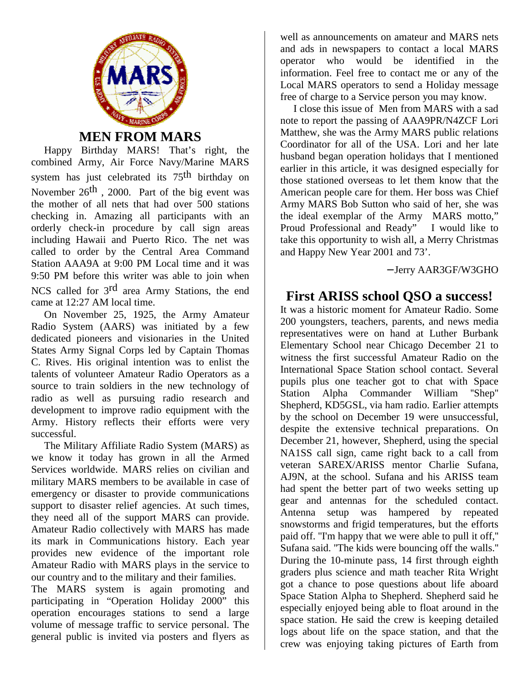

**MEN FROM MARS**

 Happy Birthday MARS! That's right, the combined Army, Air Force Navy/Marine MARS system has just celebrated its 75th birthday on November 26<sup>th</sup>, 2000. Part of the big event was the mother of all nets that had over 500 stations checking in. Amazing all participants with an orderly check-in procedure by call sign areas including Hawaii and Puerto Rico. The net was called to order by the Central Area Command Station AAA9A at 9:00 PM Local time and it was 9:50 PM before this writer was able to join when NCS called for 3rd area Army Stations, the end came at 12:27 AM local time.

 On November 25, 1925, the Army Amateur Radio System (AARS) was initiated by a few dedicated pioneers and visionaries in the United States Army Signal Corps led by Captain Thomas C. Rives. His original intention was to enlist the talents of volunteer Amateur Radio Operators as a source to train soldiers in the new technology of radio as well as pursuing radio research and development to improve radio equipment with the Army. History reflects their efforts were very successful.

 The Military Affiliate Radio System (MARS) as we know it today has grown in all the Armed Services worldwide. MARS relies on civilian and military MARS members to be available in case of emergency or disaster to provide communications support to disaster relief agencies. At such times, they need all of the support MARS can provide. Amateur Radio collectively with MARS has made its mark in Communications history. Each year provides new evidence of the important role Amateur Radio with MARS plays in the service to our country and to the military and their families.

The MARS system is again promoting and participating in "Operation Holiday 2000" this operation encourages stations to send a large volume of message traffic to service personal. The general public is invited via posters and flyers as

well as announcements on amateur and MARS nets and ads in newspapers to contact a local MARS operator who would be identified in the information. Feel free to contact me or any of the Local MARS operators to send a Holiday message free of charge to a Service person you may know.

 I close this issue of Men from MARS with a sad note to report the passing of AAA9PR/N4ZCF Lori Matthew, she was the Army MARS public relations Coordinator for all of the USA. Lori and her late husband began operation holidays that I mentioned earlier in this article, it was designed especially for those stationed overseas to let them know that the American people care for them. Her boss was Chief Army MARS Bob Sutton who said of her, she was the ideal exemplar of the Army MARS motto," Proud Professional and Ready" I would like to take this opportunity to wish all, a Merry Christmas and Happy New Year 2001 and 73'.

− Jerry AAR3GF/W3GHO

## **First ARISS school QSO a success!**

It was a historic moment for Amateur Radio. Some 200 youngsters, teachers, parents, and news media representatives were on hand at Luther Burbank Elementary School near Chicago December 21 to witness the first successful Amateur Radio on the International Space Station school contact. Several pupils plus one teacher got to chat with Space Station Alpha Commander William ''Shep'' Shepherd, KD5GSL, via ham radio. Earlier attempts by the school on December 19 were unsuccessful, despite the extensive technical preparations. On December 21, however, Shepherd, using the special NA1SS call sign, came right back to a call from veteran SAREX/ARISS mentor Charlie Sufana, AJ9N, at the school. Sufana and his ARISS team had spent the better part of two weeks setting up gear and antennas for the scheduled contact. Antenna setup was hampered by repeated snowstorms and frigid temperatures, but the efforts paid off. ''I'm happy that we were able to pull it off,'' Sufana said. ''The kids were bouncing off the walls.'' During the 10-minute pass, 14 first through eighth graders plus science and math teacher Rita Wright got a chance to pose questions about life aboard Space Station Alpha to Shepherd. Shepherd said he especially enjoyed being able to float around in the space station. He said the crew is keeping detailed logs about life on the space station, and that the crew was enjoying taking pictures of Earth from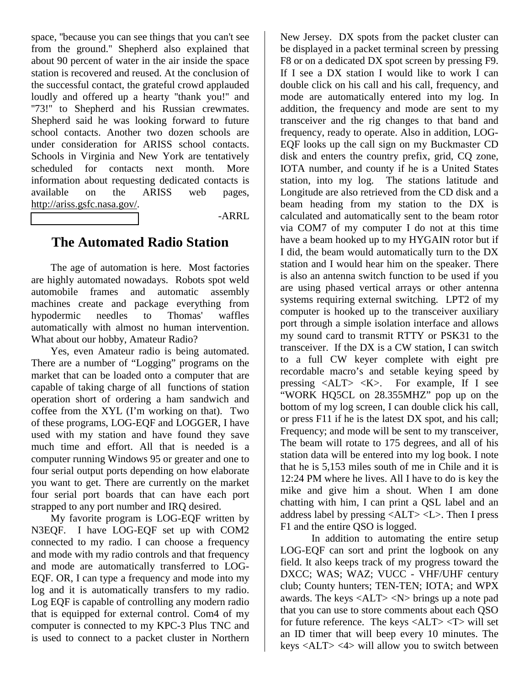space, ''because you can see things that you can't see from the ground.'' Shepherd also explained that about 90 percent of water in the air inside the space station is recovered and reused. At the conclusion of the successful contact, the grateful crowd applauded loudly and offered up a hearty "thank you!" and "73!" to Shepherd and his Russian crewmates. Shepherd said he was looking forward to future school contacts. Another two dozen schools are under consideration for ARISS school contacts. Schools in Virginia and New York are tentatively scheduled for contacts next month. More information about requesting dedicated contacts is available on the ARISS web pages, http://ariss.gsfc.nasa.gov/.

-ARRL

### **The Automated Radio Station**

The age of automation is here. Most factories are highly automated nowadays. Robots spot weld automobile frames and automatic assembly machines create and package everything from hypodermic needles to Thomas' waffles automatically with almost no human intervention. What about our hobby, Amateur Radio?

Yes, even Amateur radio is being automated. There are a number of "Logging" programs on the market that can be loaded onto a computer that are capable of taking charge of all functions of station operation short of ordering a ham sandwich and coffee from the XYL (I'm working on that). Two of these programs, LOG-EQF and LOGGER, I have used with my station and have found they save much time and effort. All that is needed is a computer running Windows 95 or greater and one to four serial output ports depending on how elaborate you want to get. There are currently on the market four serial port boards that can have each port strapped to any port number and IRQ desired.

My favorite program is LOG-EQF written by N3EQF. I have LOG-EQF set up with COM2 connected to my radio. I can choose a frequency and mode with my radio controls and that frequency and mode are automatically transferred to LOG-EQF. OR, I can type a frequency and mode into my log and it is automatically transfers to my radio. Log EQF is capable of controlling any modern radio that is equipped for external control. Com4 of my computer is connected to my KPC-3 Plus TNC and is used to connect to a packet cluster in Northern

New Jersey. DX spots from the packet cluster can be displayed in a packet terminal screen by pressing F8 or on a dedicated DX spot screen by pressing F9. If I see a DX station I would like to work I can double click on his call and his call, frequency, and mode are automatically entered into my log. In addition, the frequency and mode are sent to my transceiver and the rig changes to that band and frequency, ready to operate. Also in addition, LOG-EQF looks up the call sign on my Buckmaster CD disk and enters the country prefix, grid, CQ zone, IOTA number, and county if he is a United States station, into my log. The stations latitude and Longitude are also retrieved from the CD disk and a beam heading from my station to the DX is calculated and automatically sent to the beam rotor via COM7 of my computer I do not at this time have a beam hooked up to my HYGAIN rotor but if I did, the beam would automatically turn to the DX station and I would hear him on the speaker. There is also an antenna switch function to be used if you are using phased vertical arrays or other antenna systems requiring external switching. LPT2 of my computer is hooked up to the transceiver auxiliary port through a simple isolation interface and allows my sound card to transmit RTTY or PSK31 to the transceiver. If the DX is a CW station, I can switch to a full CW keyer complete with eight pre recordable macro's and setable keying speed by pressing  $\langle ALT \rangle \langle K \rangle$ . For example, If I see "WORK HQ5CL on 28.355MHZ" pop up on the bottom of my log screen, I can double click his call, or press F11 if he is the latest DX spot, and his call; Frequency; and mode will be sent to my transceiver, The beam will rotate to 175 degrees, and all of his station data will be entered into my log book. I note that he is 5,153 miles south of me in Chile and it is 12:24 PM where he lives. All I have to do is key the mike and give him a shout. When I am done chatting with him, I can print a QSL label and an address label by pressing <ALT> <L>. Then I press F1 and the entire QSO is logged.

In addition to automating the entire setup LOG-EQF can sort and print the logbook on any field. It also keeps track of my progress toward the DXCC; WAS; WAZ; VUCC - VHF/UHF century club; County hunters; TEN-TEN; IOTA; and WPX awards. The keys <ALT> <N> brings up a note pad that you can use to store comments about each QSO for future reference. The keys <ALT> <T> will set an ID timer that will beep every 10 minutes. The keys <ALT> <4> will allow you to switch between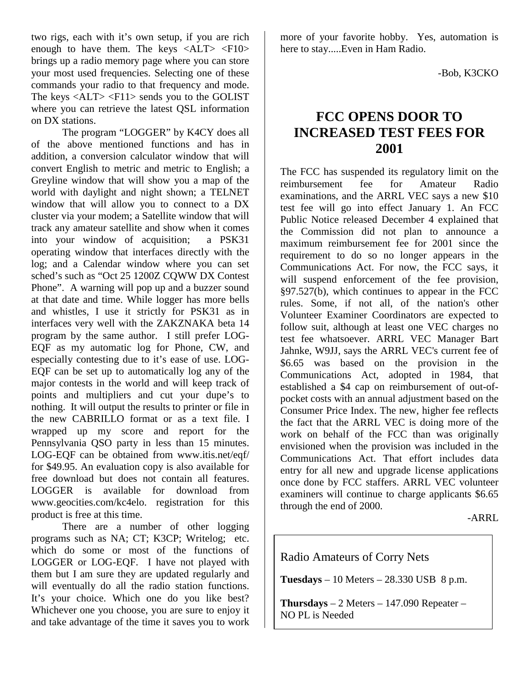two rigs, each with it's own setup, if you are rich enough to have them. The keys  $\langle ALT \rangle \langle F10 \rangle$ brings up a radio memory page where you can store your most used frequencies. Selecting one of these commands your radio to that frequency and mode. The keys  $\langle ALT \rangle \langle F11 \rangle$  sends you to the GOLIST where you can retrieve the latest QSL information on DX stations.

The program "LOGGER" by K4CY does all of the above mentioned functions and has in addition, a conversion calculator window that will convert English to metric and metric to English; a Greyline window that will show you a map of the world with daylight and night shown; a TELNET window that will allow you to connect to a DX cluster via your modem; a Satellite window that will track any amateur satellite and show when it comes into your window of acquisition; a PSK31 operating window that interfaces directly with the log; and a Calendar window where you can set sched's such as "Oct 25 1200Z CQWW DX Contest Phone". A warning will pop up and a buzzer sound at that date and time. While logger has more bells and whistles, I use it strictly for PSK31 as in interfaces very well with the ZAKZNAKA beta 14 program by the same author. I still prefer LOG-EQF as my automatic log for Phone, CW, and especially contesting due to it's ease of use. LOG-EQF can be set up to automatically log any of the major contests in the world and will keep track of points and multipliers and cut your dupe's to nothing. It will output the results to printer or file in the new CABRILLO format or as a text file. I wrapped up my score and report for the Pennsylvania QSO party in less than 15 minutes. LOG-EQF can be obtained from www.itis.net/eqf/ for \$49.95. An evaluation copy is also available for free download but does not contain all features. LOGGER is available for download from www.geocities.com/kc4elo. registration for this product is free at this time.

There are a number of other logging programs such as NA; CT; K3CP; Writelog; etc. which do some or most of the functions of LOGGER or LOG-EQF. I have not played with them but I am sure they are updated regularly and will eventually do all the radio station functions. It's your choice. Which one do you like best? Whichever one you choose, you are sure to enjoy it and take advantage of the time it saves you to work more of your favorite hobby. Yes, automation is here to stay.....Even in Ham Radio.

-Bob, K3CKO

## **FCC OPENS DOOR TO INCREASED TEST FEES FOR 2001**

The FCC has suspended its regulatory limit on the reimbursement fee for Amateur Radio examinations, and the ARRL VEC says a new \$10 test fee will go into effect January 1. An FCC Public Notice released December 4 explained that the Commission did not plan to announce a maximum reimbursement fee for 2001 since the requirement to do so no longer appears in the Communications Act. For now, the FCC says, it will suspend enforcement of the fee provision, §97.527(b), which continues to appear in the FCC rules. Some, if not all, of the nation's other Volunteer Examiner Coordinators are expected to follow suit, although at least one VEC charges no test fee whatsoever. ARRL VEC Manager Bart Jahnke, W9JJ, says the ARRL VEC's current fee of \$6.65 was based on the provision in the Communications Act, adopted in 1984, that established a \$4 cap on reimbursement of out-ofpocket costs with an annual adjustment based on the Consumer Price Index. The new, higher fee reflects the fact that the ARRL VEC is doing more of the work on behalf of the FCC than was originally envisioned when the provision was included in the Communications Act. That effort includes data entry for all new and upgrade license applications once done by FCC staffers. ARRL VEC volunteer examiners will continue to charge applicants \$6.65 through the end of 2000.

-ARRL

Radio Amateurs of Corry Nets

**Tuesdays** – 10 Meters – 28.330 USB 8 p.m.

**Thursdays** – 2 Meters – 147.090 Repeater – NO PL is Needed